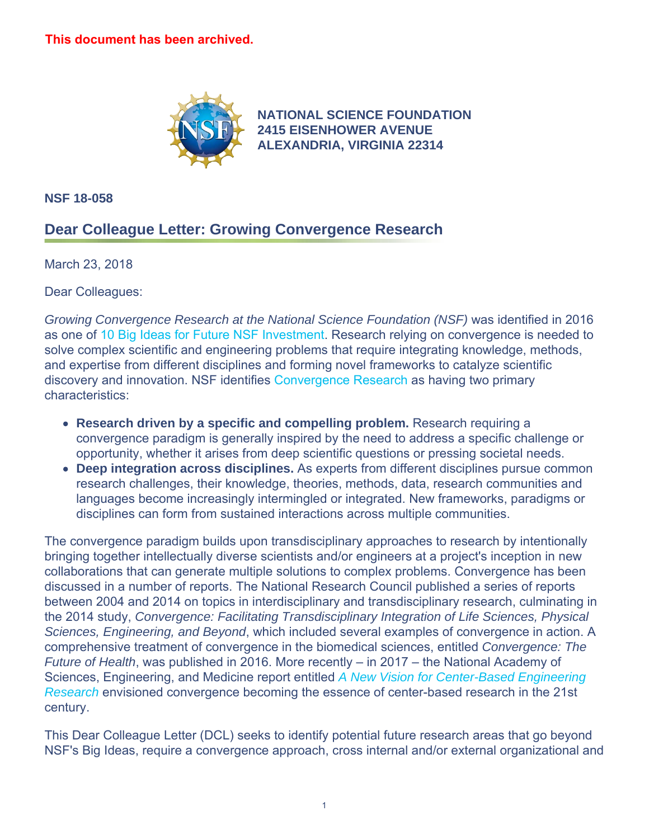

**[NATIONAL SCIENCE FOUNDATION](https://www.nsf.gov)  2415 EISENHOWER AVENUE ALEXANDRIA, VIRGINIA 22314** 

**NSF 18-058** 

## **Dear Colleague Letter: Growing Convergence Research**

March 23, 2018

Dear Colleagues:

*Growing Convergence Research at the National Science Foundation (NSF)* was identified in 2016 as one of [10 Big Ideas for Future NSF Investment](https://www.nsf.gov/news/special_reports/big_ideas/index.jsp). Research relying on convergence is needed to solve complex scientific and engineering problems that require integrating knowledge, methods, and expertise from different disciplines and forming novel frameworks to catalyze scientific discovery and innovation. NSF identifies [Convergence Research](https://www.nsf.gov/od/oia/convergence/index.jsp) as having two primary characteristics:

- **Research driven by a specific and compelling problem.** Research requiring a convergence paradigm is generally inspired by the need to address a specific challenge or opportunity, whether it arises from deep scientific questions or pressing societal needs.
- **Deep integration across disciplines.** As experts from different disciplines pursue common research challenges, their knowledge, theories, methods, data, research communities and languages become increasingly intermingled or integrated. New frameworks, paradigms or disciplines can form from sustained interactions across multiple communities.

The convergence paradigm builds upon transdisciplinary approaches to research by intentionally bringing together intellectually diverse scientists and/or engineers at a project's inception in new collaborations that can generate multiple solutions to complex problems. Convergence has been discussed in a number of reports. The National Research Council published a series of reports between 2004 and 2014 on topics in interdisciplinary and transdisciplinary research, culminating in the 2014 study, *Convergence: Facilitating Transdisciplinary Integration of Life Sciences, Physical Sciences, Engineering, and Beyond*, which included several examples of convergence in action. A comprehensive treatment of convergence in the biomedical sciences, entitled *Convergence: The Future of Health*, was published in 2016. More recently – in 2017 – the National Academy of Sciences, Engineering, and Medicine report entitled *[A New Vision for Center-Based Engineering](https://www.nsf.gov/cgi-bin/goodbye?https://www.nap.edu/read/24767)  [Research](https://www.nsf.gov/cgi-bin/goodbye?https://www.nap.edu/read/24767)* envisioned convergence becoming the essence of center-based research in the 21st century.

This Dear Colleague Letter (DCL) seeks to identify potential future research areas that go beyond NSF's Big Ideas, require a convergence approach, cross internal and/or external organizational and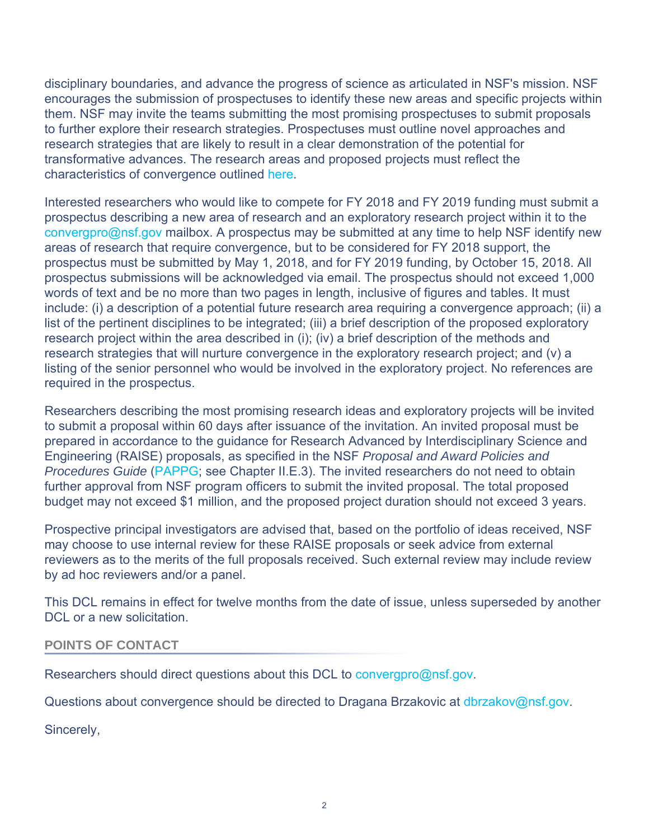disciplinary boundaries, and advance the progress of science as articulated in NSF's mission. NSF encourages the submission of prospectuses to identify these new areas and specific projects within them. NSF may invite the teams submitting the most promising prospectuses to submit proposals to further explore their research strategies. Prospectuses must outline novel approaches and research strategies that are likely to result in a clear demonstration of the potential for transformative advances. The research areas and proposed projects must reflect the characteristics of convergence outlined [here.](https://www.nsf.gov/od/oia/convergence/characteristics.jsp)

Interested researchers who would like to compete for FY 2018 and FY 2019 funding must submit a prospectus describing a new area of research and an exploratory research project within it to the [convergpro@nsf.gov](mailto:convergenceprospectus@nsf.gov) mailbox. A prospectus may be submitted at any time to help NSF identify new areas of research that require convergence, but to be considered for FY 2018 support, the prospectus must be submitted by May 1, 2018, and for FY 2019 funding, by October 15, 2018. All prospectus submissions will be acknowledged via email. The prospectus should not exceed 1,000 words of text and be no more than two pages in length, inclusive of figures and tables. It must include: (i) a description of a potential future research area requiring a convergence approach; (ii) a list of the pertinent disciplines to be integrated; (iii) a brief description of the proposed exploratory research project within the area described in (i); (iv) a brief description of the methods and research strategies that will nurture convergence in the exploratory research project; and (v) a listing of the senior personnel who would be involved in the exploratory project. No references are required in the prospectus.

Researchers describing the most promising research ideas and exploratory projects will be invited to submit a proposal within 60 days after issuance of the invitation. An invited proposal must be prepared in accordance to the guidance for Research Advanced by Interdisciplinary Science and Engineering (RAISE) proposals, as specified in the NSF *Proposal and Award Policies and Procedures Guide* [\(PAPPG](https://www.nsf.gov/publications/pub_summ.jsp?ods_key=pappg); see Chapter II.E.3). The invited researchers do not need to obtain further approval from NSF program officers to submit the invited proposal. The total proposed budget may not exceed \$1 million, and the proposed project duration should not exceed 3 years.

Prospective principal investigators are advised that, based on the portfolio of ideas received, NSF may choose to use internal review for these RAISE proposals or seek advice from external reviewers as to the merits of the full proposals received. Such external review may include review by ad hoc reviewers and/or a panel.

This DCL remains in effect for twelve months from the date of issue, unless superseded by another DCL or a new solicitation.

## **POINTS OF CONTACT**

Researchers should direct questions about this DCL to [convergpro@nsf.gov](mailto:convergencedcl@nsf.gov).

Questions about convergence should be directed to Dragana Brzakovic at [dbrzakov@nsf.gov](mailto:dbrzakov@nsf.gov).

Sincerely,